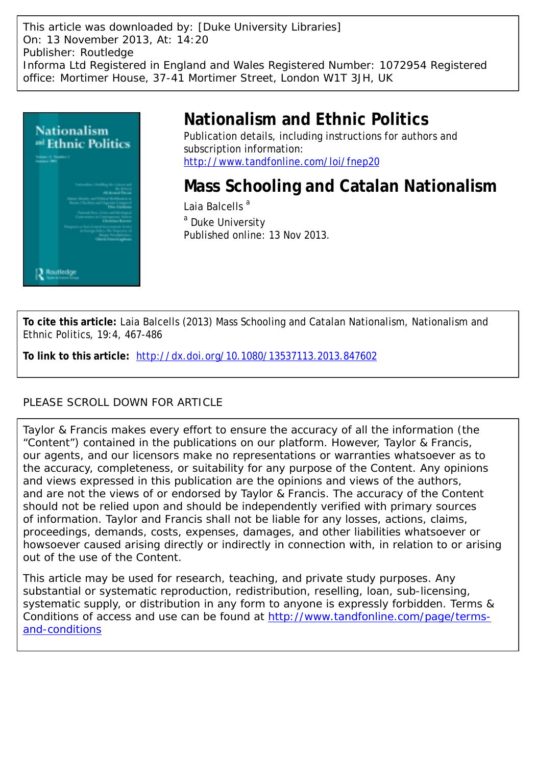This article was downloaded by: [Duke University Libraries] On: 13 November 2013, At: 14:20 Publisher: Routledge Informa Ltd Registered in England and Wales Registered Number: 1072954 Registered office: Mortimer House, 37-41 Mortimer Street, London W1T 3JH, UK



# **Nationalism and Ethnic Politics**

Publication details, including instructions for authors and subscription information: <http://www.tandfonline.com/loi/fnep20>

**Mass Schooling and Catalan Nationalism**

Laia Balcells<sup>a</sup> <sup>a</sup> Duke University Published online: 13 Nov 2013.

**To cite this article:** Laia Balcells (2013) Mass Schooling and Catalan Nationalism, Nationalism and Ethnic Politics, 19:4, 467-486

**To link to this article:** <http://dx.doi.org/10.1080/13537113.2013.847602>

### PLEASE SCROLL DOWN FOR ARTICLE

Taylor & Francis makes every effort to ensure the accuracy of all the information (the "Content") contained in the publications on our platform. However, Taylor & Francis, our agents, and our licensors make no representations or warranties whatsoever as to the accuracy, completeness, or suitability for any purpose of the Content. Any opinions and views expressed in this publication are the opinions and views of the authors, and are not the views of or endorsed by Taylor & Francis. The accuracy of the Content should not be relied upon and should be independently verified with primary sources of information. Taylor and Francis shall not be liable for any losses, actions, claims, proceedings, demands, costs, expenses, damages, and other liabilities whatsoever or howsoever caused arising directly or indirectly in connection with, in relation to or arising out of the use of the Content.

This article may be used for research, teaching, and private study purposes. Any substantial or systematic reproduction, redistribution, reselling, loan, sub-licensing, systematic supply, or distribution in any form to anyone is expressly forbidden. Terms & Conditions of access and use can be found at [http://www.tandfonline.com/page/terms](http://www.tandfonline.com/page/terms-and-conditions)[and-conditions](http://www.tandfonline.com/page/terms-and-conditions)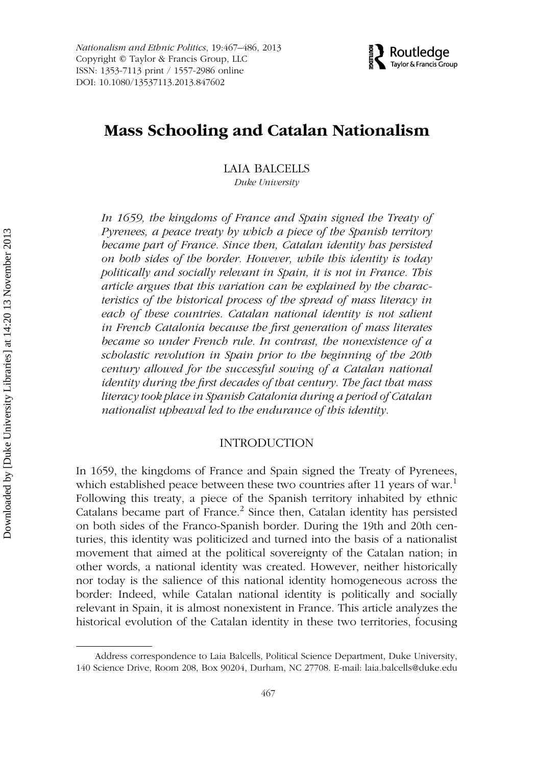

## **Mass Schooling and Catalan Nationalism**

LAIA BALCELLS *Duke University*

*In 1659, the kingdoms of France and Spain signed the Treaty of Pyrenees, a peace treaty by which a piece of the Spanish territory became part of France. Since then, Catalan identity has persisted on both sides of the border. However, while this identity is today politically and socially relevant in Spain, it is not in France. This article argues that this variation can be explained by the characteristics of the historical process of the spread of mass literacy in each of these countries. Catalan national identity is not salient in French Catalonia because the first generation of mass literates became so under French rule. In contrast, the nonexistence of a scholastic revolution in Spain prior to the beginning of the 20th century allowed for the successful sowing of a Catalan national identity during the first decades of that century. The fact that mass literacy took place in Spanish Catalonia during a period of Catalan nationalist upheaval led to the endurance of this identity.*

#### INTRODUCTION

In 1659, the kingdoms of France and Spain signed the Treaty of Pyrenees, which established peace between these two countries after 11 years of war.<sup>1</sup> Following this treaty, a piece of the Spanish territory inhabited by ethnic Catalans became part of France.<sup>2</sup> Since then, Catalan identity has persisted on both sides of the Franco-Spanish border. During the 19th and 20th centuries, this identity was politicized and turned into the basis of a nationalist movement that aimed at the political sovereignty of the Catalan nation; in other words, a national identity was created. However, neither historically nor today is the salience of this national identity homogeneous across the border: Indeed, while Catalan national identity is politically and socially relevant in Spain, it is almost nonexistent in France. This article analyzes the historical evolution of the Catalan identity in these two territories, focusing

Address correspondence to Laia Balcells, Political Science Department, Duke University, 140 Science Drive, Room 208, Box 90204, Durham, NC 27708. E-mail: laia.balcells@duke.edu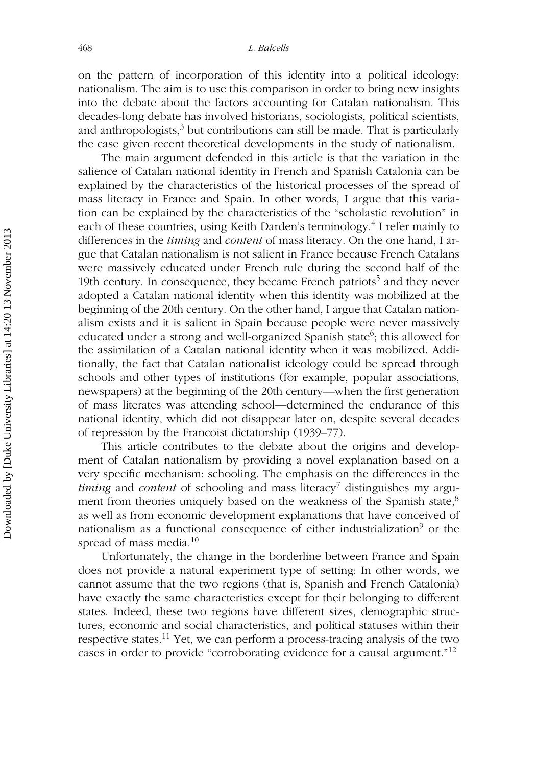on the pattern of incorporation of this identity into a political ideology: nationalism. The aim is to use this comparison in order to bring new insights into the debate about the factors accounting for Catalan nationalism. This decades-long debate has involved historians, sociologists, political scientists, and anthropologists, $3$  but contributions can still be made. That is particularly the case given recent theoretical developments in the study of nationalism.

The main argument defended in this article is that the variation in the salience of Catalan national identity in French and Spanish Catalonia can be explained by the characteristics of the historical processes of the spread of mass literacy in France and Spain. In other words, I argue that this variation can be explained by the characteristics of the "scholastic revolution" in each of these countries, using Keith Darden's terminology.<sup>4</sup> I refer mainly to differences in the *timing* and *content* of mass literacy. On the one hand, I argue that Catalan nationalism is not salient in France because French Catalans were massively educated under French rule during the second half of the 19th century. In consequence, they became French patriots<sup>5</sup> and they never adopted a Catalan national identity when this identity was mobilized at the beginning of the 20th century. On the other hand, I argue that Catalan nationalism exists and it is salient in Spain because people were never massively educated under a strong and well-organized Spanish state<sup>6</sup>; this allowed for the assimilation of a Catalan national identity when it was mobilized. Additionally, the fact that Catalan nationalist ideology could be spread through schools and other types of institutions (for example, popular associations, newspapers) at the beginning of the 20th century—when the first generation of mass literates was attending school—determined the endurance of this national identity, which did not disappear later on, despite several decades of repression by the Francoist dictatorship (1939–77).

This article contributes to the debate about the origins and development of Catalan nationalism by providing a novel explanation based on a very specific mechanism: schooling. The emphasis on the differences in the *timing* and *content* of schooling and mass literacy<sup>7</sup> distinguishes my argument from theories uniquely based on the weakness of the Spanish state,<sup>8</sup> as well as from economic development explanations that have conceived of nationalism as a functional consequence of either industrialization<sup>9</sup> or the spread of mass media.<sup>10</sup>

Unfortunately, the change in the borderline between France and Spain does not provide a natural experiment type of setting: In other words, we cannot assume that the two regions (that is, Spanish and French Catalonia) have exactly the same characteristics except for their belonging to different states. Indeed, these two regions have different sizes, demographic structures, economic and social characteristics, and political statuses within their respective states.<sup>11</sup> Yet, we can perform a process-tracing analysis of the two cases in order to provide "corroborating evidence for a causal argument."<sup>12</sup>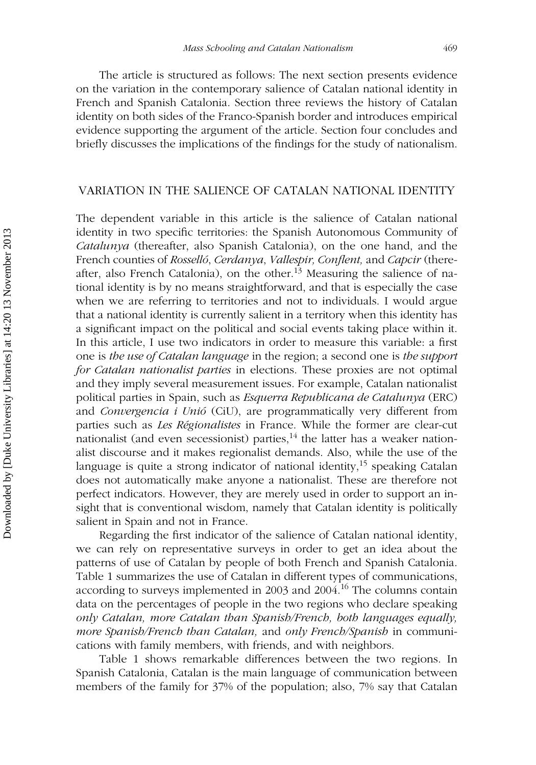The article is structured as follows: The next section presents evidence on the variation in the contemporary salience of Catalan national identity in French and Spanish Catalonia. Section three reviews the history of Catalan identity on both sides of the Franco-Spanish border and introduces empirical evidence supporting the argument of the article. Section four concludes and briefly discusses the implications of the findings for the study of nationalism.

#### VARIATION IN THE SALIENCE OF CATALAN NATIONAL IDENTITY

The dependent variable in this article is the salience of Catalan national identity in two specific territories: the Spanish Autonomous Community of *Catalunya* (thereafter, also Spanish Catalonia), on the one hand, and the French counties of *Rossello´*, *Cerdanya*, *Vallespir, Conflent,* and *Capcir* (thereafter, also French Catalonia), on the other.<sup>13</sup> Measuring the salience of national identity is by no means straightforward, and that is especially the case when we are referring to territories and not to individuals. I would argue that a national identity is currently salient in a territory when this identity has a significant impact on the political and social events taking place within it. In this article, I use two indicators in order to measure this variable: a first one is *the use of Catalan language* in the region; a second one is *the support for Catalan nationalist parties* in elections. These proxies are not optimal and they imply several measurement issues. For example, Catalan nationalist political parties in Spain, such as *Esquerra Republicana de Catalunya* (ERC) and *Convergencia i Unio´* (CiU), are programmatically very different from parties such as *Les Régionalistes* in France. While the former are clear-cut nationalist (and even secessionist) parties, $14$  the latter has a weaker nationalist discourse and it makes regionalist demands. Also, while the use of the language is quite a strong indicator of national identity,<sup>15</sup> speaking Catalan does not automatically make anyone a nationalist. These are therefore not perfect indicators. However, they are merely used in order to support an insight that is conventional wisdom, namely that Catalan identity is politically salient in Spain and not in France.

Regarding the first indicator of the salience of Catalan national identity, we can rely on representative surveys in order to get an idea about the patterns of use of Catalan by people of both French and Spanish Catalonia. Table 1 summarizes the use of Catalan in different types of communications, according to surveys implemented in 2003 and 2004.<sup>16</sup> The columns contain data on the percentages of people in the two regions who declare speaking *only Catalan, more Catalan than Spanish/French, both languages equally, more Spanish/French than Catalan,* and *only French/Spanish* in communications with family members, with friends, and with neighbors.

Table 1 shows remarkable differences between the two regions. In Spanish Catalonia, Catalan is the main language of communication between members of the family for 37% of the population; also, 7% say that Catalan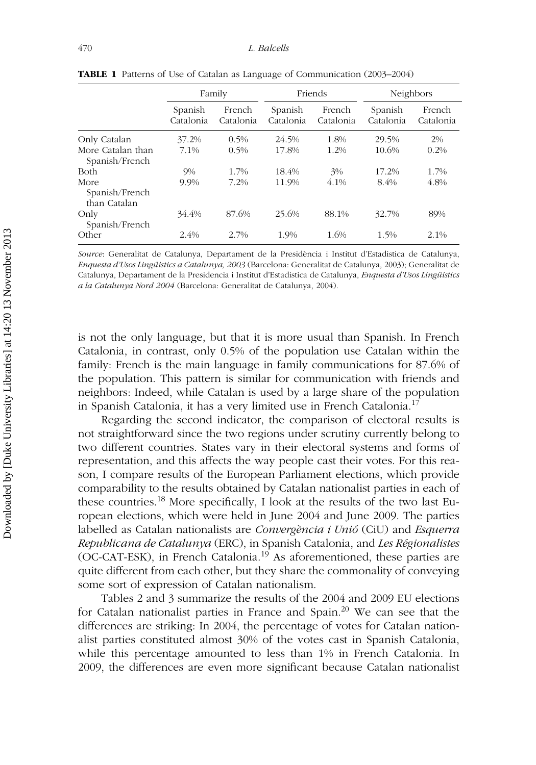|                                        |                      | Family              |                      | Friends             | Neighbors            |                     |  |
|----------------------------------------|----------------------|---------------------|----------------------|---------------------|----------------------|---------------------|--|
|                                        | Spanish<br>Catalonia | French<br>Catalonia | Spanish<br>Catalonia | French<br>Catalonia | Spanish<br>Catalonia | French<br>Catalonia |  |
| Only Catalan                           | 37.2%                | 0.5%                | 24.5%                | 1.8%                | 29.5%                | 2%                  |  |
| More Catalan than<br>Spanish/French    | 7.1%                 | 0.5%                | 17.8%                | 1.2%                | 10.6%                | 0.2%                |  |
| Both                                   | 9%                   | 1.7%                | 18.4%                | 3%                  | 17.2%                | 1.7%                |  |
| More<br>Spanish/French<br>than Catalan | 9.9%                 | 7.2%                | 11.9%                | 4.1%                | 8.4%                 | 4.8%                |  |
| Only<br>Spanish/French                 | 34.4%                | 87.6%               | 25.6%                | 88.1%               | 32.7%                | 89%                 |  |
| Other                                  | 2.4%                 | 2.7%                | 1.9%                 | 1.6%                | 1.5%                 | 2.1%                |  |

**TABLE 1** Patterns of Use of Catalan as Language of Communication (2003–2004)

*Source*: Generalitat de Catalunya, Departament de la Presidencia i Institut d'Estadistica de Catalunya, ` *Enquesta d'Usos Lingüistics a Catalunya, 2003* (Barcelona: Generalitat de Catalunya, 2003); Generalitat de Catalunya, Departament de la Presidencia i Institut d'Estadistica de Catalunya, *Enquesta d'Usos Linguistics ¨ a la Catalunya Nord 2004* (Barcelona: Generalitat de Catalunya, 2004).

is not the only language, but that it is more usual than Spanish. In French Catalonia, in contrast, only 0.5% of the population use Catalan within the family: French is the main language in family communications for 87.6% of the population. This pattern is similar for communication with friends and neighbors: Indeed, while Catalan is used by a large share of the population in Spanish Catalonia, it has a very limited use in French Catalonia.<sup>17</sup>

Regarding the second indicator, the comparison of electoral results is not straightforward since the two regions under scrutiny currently belong to two different countries. States vary in their electoral systems and forms of representation, and this affects the way people cast their votes. For this reason, I compare results of the European Parliament elections, which provide comparability to the results obtained by Catalan nationalist parties in each of these countries.<sup>18</sup> More specifically, I look at the results of the two last European elections, which were held in June 2004 and June 2009. The parties labelled as Catalan nationalists are *Convergència i Unió* (CiU) and *Esquerra Republicana de Catalunya* (ERC), in Spanish Catalonia, and *Les Regionalistes ´* (OC-CAT-ESK), in French Catalonia.<sup>19</sup> As aforementioned, these parties are quite different from each other, but they share the commonality of conveying some sort of expression of Catalan nationalism.

Tables 2 and 3 summarize the results of the 2004 and 2009 EU elections for Catalan nationalist parties in France and Spain.<sup>20</sup> We can see that the differences are striking: In 2004, the percentage of votes for Catalan nationalist parties constituted almost 30% of the votes cast in Spanish Catalonia, while this percentage amounted to less than 1% in French Catalonia. In 2009, the differences are even more significant because Catalan nationalist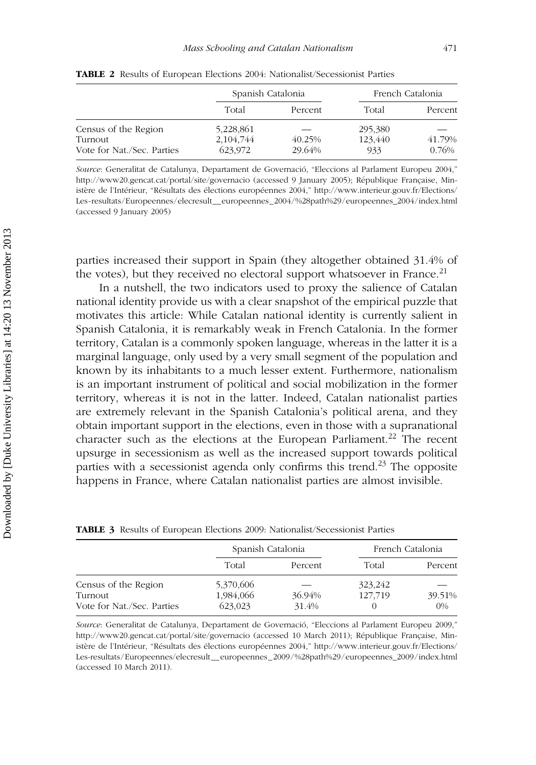|                            | Spanish Catalonia |         | French Catalonia |         |  |
|----------------------------|-------------------|---------|------------------|---------|--|
|                            | Total             | Percent | Total            | Percent |  |
| Census of the Region       | 5,228,861         |         | 295,380          |         |  |
| Turnout                    | 2,104,744         | 40.25%  | 123,440          | 41.79%  |  |
| Vote for Nat./Sec. Parties | 623,972           | 29.64%  | 933              | 0.76%   |  |

**TABLE 2** Results of European Elections 2004: Nationalist/Secessionist Parties

*Source*: Generalitat de Catalunya, Departament de Governacio, "Eleccions al Parlament Europeu 2004," ´ http://www20.gencat.cat/portal/site/governacio (accessed 9 January 2005); République Française, Ministère de l'Intérieur, "Résultats des élections européennes 2004," http://www.interieur.gouv.fr/Elections/ Les-resultats/Europeennes/elecresult\_\_europeennes\_2004/%28path%29/europeennes\_2004/index.html (accessed 9 January 2005)

parties increased their support in Spain (they altogether obtained 31.4% of the votes), but they received no electoral support whatsoever in France.<sup>21</sup>

In a nutshell, the two indicators used to proxy the salience of Catalan national identity provide us with a clear snapshot of the empirical puzzle that motivates this article: While Catalan national identity is currently salient in Spanish Catalonia, it is remarkably weak in French Catalonia. In the former territory, Catalan is a commonly spoken language, whereas in the latter it is a marginal language, only used by a very small segment of the population and known by its inhabitants to a much lesser extent. Furthermore, nationalism is an important instrument of political and social mobilization in the former territory, whereas it is not in the latter. Indeed, Catalan nationalist parties are extremely relevant in the Spanish Catalonia's political arena, and they obtain important support in the elections, even in those with a supranational character such as the elections at the European Parliament.<sup>22</sup> The recent upsurge in secessionism as well as the increased support towards political parties with a secessionist agenda only confirms this trend.<sup>23</sup> The opposite happens in France, where Catalan nationalist parties are almost invisible.

|                            | Spanish Catalonia |         | French Catalonia |         |  |
|----------------------------|-------------------|---------|------------------|---------|--|
|                            | Total             | Percent | Total            | Percent |  |
| Census of the Region       | 5,370,606         |         | 323,242          |         |  |
| Turnout                    | 1,984,066         | 36.94%  | 127,719          | 39.51%  |  |
| Vote for Nat./Sec. Parties | 623,023           | 31.4%   |                  | 0%      |  |

**TABLE 3** Results of European Elections 2009: Nationalist/Secessionist Parties

*Source*: Generalitat de Catalunya, Departament de Governacio, "Eleccions al Parlament Europeu 2009," ´ http://www20.gencat.cat/portal/site/governacio (accessed 10 March 2011); République Française, Ministère de l'Intérieur, "Résultats des élections européennes 2004," http://www.interieur.gouv.fr/Elections/ Les-resultats/Europeennes/elecresult\_\_europeennes\_2009/%28path%29/europeennes\_2009/index.html (accessed 10 March 2011).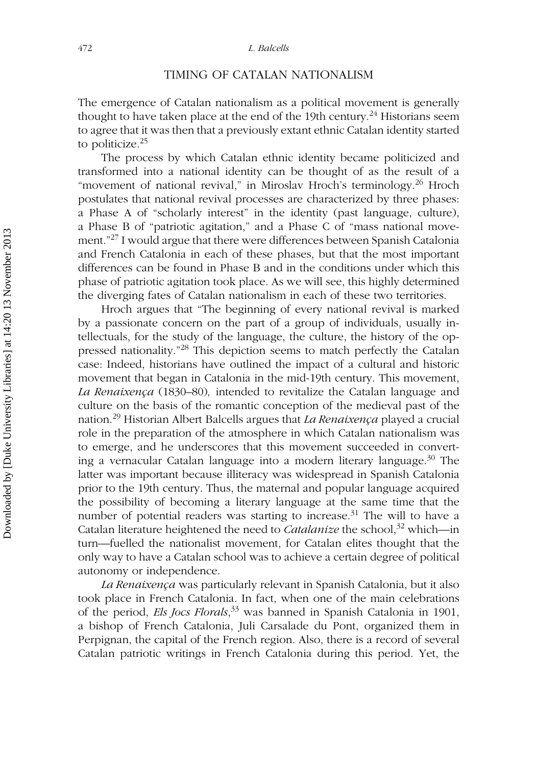#### TIMING OF CATALAN NATIONALISM

The emergence of Catalan nationalism as a political movement is generally thought to have taken place at the end of the 19th century.<sup>24</sup> Historians seem to agree that it was then that a previously extant ethnic Catalan identity started to politicize.<sup>25</sup>

The process by which Catalan ethnic identity became politicized and transformed into a national identity can be thought of as the result of a "movement of national revival," in Miroslav Hroch's terminology.<sup>26</sup> Hroch postulates that national revival processes are characterized by three phases: a Phase A of "scholarly interest" in the identity (past language, culture), a Phase B of "patriotic agitation," and a Phase C of "mass national movement."27 I would argue that there were differences between Spanish Catalonia and French Catalonia in each of these phases, but that the most important differences can be found in Phase B and in the conditions under which this phase of patriotic agitation took place. As we will see, this highly determined the diverging fates of Catalan nationalism in each of these two territories.

Hroch argues that "The beginning of every national revival is marked by a passionate concern on the part of a group of individuals, usually intellectuals, for the study of the language, the culture, the history of the oppressed nationality."<sup>28</sup> This depiction seems to match perfectly the Catalan case: Indeed, historians have outlined the impact of a cultural and historic movement that began in Catalonia in the mid-19th century. This movement, La Renaixença (1830–80), intended to revitalize the Catalan language and culture on the basis of the romantic conception of the medieval past of the nation.<sup>29</sup> Historian Albert Balcells argues that *La Renaixença* played a crucial role in the preparation of the atmosphere in which Catalan nationalism was to emerge, and he underscores that this movement succeeded in converting a vernacular Catalan language into a modern literary language.<sup>30</sup> The latter was important because illiteracy was widespread in Spanish Catalonia prior to the 19th century. Thus, the maternal and popular language acquired the possibility of becoming a literary language at the same time that the number of potential readers was starting to increase.<sup>31</sup> The will to have a Catalan literature heightened the need to *Catalanize* the school,<sup>32</sup> which—in turn—fuelled the nationalist movement, for Catalan elites thought that the only way to have a Catalan school was to achieve a certain degree of political autonomy or independence.

La Renaixença was particularly relevant in Spanish Catalonia, but it also took place in French Catalonia. In fact, when one of the main celebrations of the period, *Els Jocs Florals*, <sup>33</sup> was banned in Spanish Catalonia in 1901, a bishop of French Catalonia, Juli Carsalade du Pont, organized them in Perpignan, the capital of the French region. Also, there is a record of several Catalan patriotic writings in French Catalonia during this period. Yet, the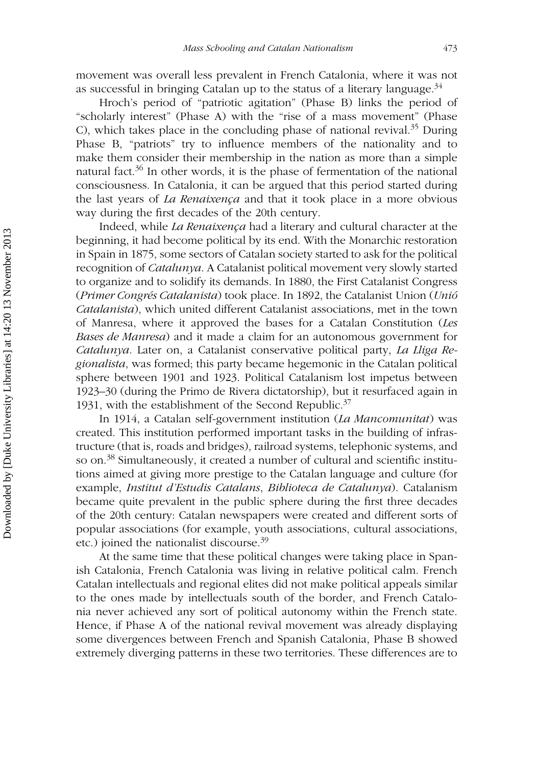movement was overall less prevalent in French Catalonia, where it was not as successful in bringing Catalan up to the status of a literary language. $34$ 

Hroch's period of "patriotic agitation" (Phase B) links the period of "scholarly interest" (Phase A) with the "rise of a mass movement" (Phase C), which takes place in the concluding phase of national revival.<sup>35</sup> During Phase B, "patriots" try to influence members of the nationality and to make them consider their membership in the nation as more than a simple natural fact. $36$  In other words, it is the phase of fermentation of the national consciousness. In Catalonia, it can be argued that this period started during the last years of *La Renaixença* and that it took place in a more obvious way during the first decades of the 20th century.

Indeed, while *La Renaixença* had a literary and cultural character at the beginning, it had become political by its end. With the Monarchic restoration in Spain in 1875, some sectors of Catalan society started to ask for the political recognition of *Catalunya*. A Catalanist political movement very slowly started to organize and to solidify its demands. In 1880, the First Catalanist Congress (*Primer Congres Catalanista ´* ) took place. In 1892, the Catalanist Union (*Unio´ Catalanista*), which united different Catalanist associations, met in the town of Manresa, where it approved the bases for a Catalan Constitution (*Les Bases de Manresa*) and it made a claim for an autonomous government for *Catalunya*. Later on, a Catalanist conservative political party, *La Lliga Regionalista*, was formed; this party became hegemonic in the Catalan political sphere between 1901 and 1923. Political Catalanism lost impetus between 1923–30 (during the Primo de Rivera dictatorship), but it resurfaced again in 1931, with the establishment of the Second Republic.<sup>37</sup>

In 1914, a Catalan self-government institution (*La Mancomunitat*) was created. This institution performed important tasks in the building of infrastructure (that is, roads and bridges), railroad systems, telephonic systems, and so on.<sup>38</sup> Simultaneously, it created a number of cultural and scientific institutions aimed at giving more prestige to the Catalan language and culture (for example, *Institut d'Estudis Catalans*, *Biblioteca de Catalunya*). Catalanism became quite prevalent in the public sphere during the first three decades of the 20th century: Catalan newspapers were created and different sorts of popular associations (for example, youth associations, cultural associations, etc.) joined the nationalist discourse.39

At the same time that these political changes were taking place in Spanish Catalonia, French Catalonia was living in relative political calm. French Catalan intellectuals and regional elites did not make political appeals similar to the ones made by intellectuals south of the border, and French Catalonia never achieved any sort of political autonomy within the French state. Hence, if Phase A of the national revival movement was already displaying some divergences between French and Spanish Catalonia, Phase B showed extremely diverging patterns in these two territories. These differences are to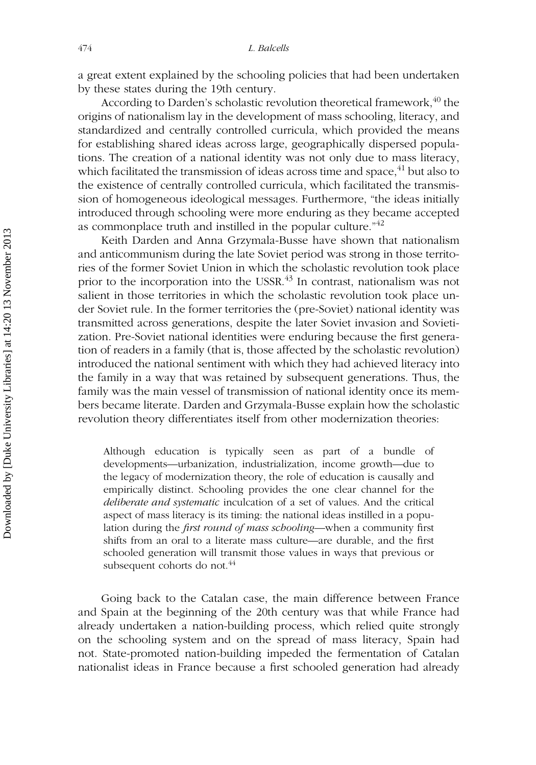a great extent explained by the schooling policies that had been undertaken by these states during the 19th century.

According to Darden's scholastic revolution theoretical framework,  $40$  the origins of nationalism lay in the development of mass schooling, literacy, and standardized and centrally controlled curricula, which provided the means for establishing shared ideas across large, geographically dispersed populations. The creation of a national identity was not only due to mass literacy, which facilitated the transmission of ideas across time and space,  $41$  but also to the existence of centrally controlled curricula, which facilitated the transmission of homogeneous ideological messages. Furthermore, "the ideas initially introduced through schooling were more enduring as they became accepted as commonplace truth and instilled in the popular culture."<sup>42</sup>

Keith Darden and Anna Grzymala-Busse have shown that nationalism and anticommunism during the late Soviet period was strong in those territories of the former Soviet Union in which the scholastic revolution took place prior to the incorporation into the USSR. $43$  In contrast, nationalism was not salient in those territories in which the scholastic revolution took place under Soviet rule. In the former territories the (pre-Soviet) national identity was transmitted across generations, despite the later Soviet invasion and Sovietization. Pre-Soviet national identities were enduring because the first generation of readers in a family (that is, those affected by the scholastic revolution) introduced the national sentiment with which they had achieved literacy into the family in a way that was retained by subsequent generations. Thus, the family was the main vessel of transmission of national identity once its members became literate. Darden and Grzymala-Busse explain how the scholastic revolution theory differentiates itself from other modernization theories:

Although education is typically seen as part of a bundle of developments—urbanization, industrialization, income growth—due to the legacy of modernization theory, the role of education is causally and empirically distinct. Schooling provides the one clear channel for the *deliberate and systematic* inculcation of a set of values. And the critical aspect of mass literacy is its timing: the national ideas instilled in a population during the *first round of mass schooling*—when a community first shifts from an oral to a literate mass culture—are durable, and the first schooled generation will transmit those values in ways that previous or subsequent cohorts do not.<sup>44</sup>

Going back to the Catalan case, the main difference between France and Spain at the beginning of the 20th century was that while France had already undertaken a nation-building process, which relied quite strongly on the schooling system and on the spread of mass literacy, Spain had not. State-promoted nation-building impeded the fermentation of Catalan nationalist ideas in France because a first schooled generation had already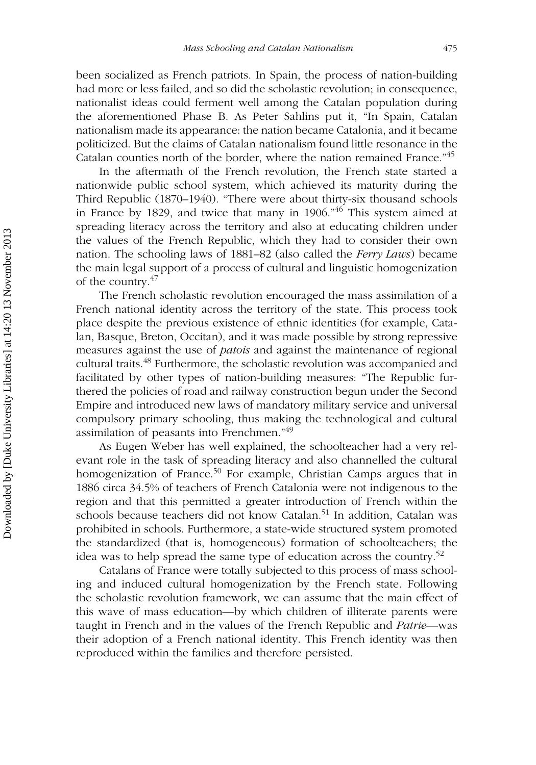been socialized as French patriots. In Spain, the process of nation-building had more or less failed, and so did the scholastic revolution; in consequence, nationalist ideas could ferment well among the Catalan population during the aforementioned Phase B. As Peter Sahlins put it, "In Spain, Catalan nationalism made its appearance: the nation became Catalonia, and it became politicized. But the claims of Catalan nationalism found little resonance in the Catalan counties north of the border, where the nation remained France."<sup>45</sup>

In the aftermath of the French revolution, the French state started a nationwide public school system, which achieved its maturity during the Third Republic (1870–1940). "There were about thirty-six thousand schools in France by 1829, and twice that many in 1906."<sup>46</sup> This system aimed at spreading literacy across the territory and also at educating children under the values of the French Republic, which they had to consider their own nation. The schooling laws of 1881–82 (also called the *Ferry Laws*) became the main legal support of a process of cultural and linguistic homogenization of the country.<sup>47</sup>

The French scholastic revolution encouraged the mass assimilation of a French national identity across the territory of the state. This process took place despite the previous existence of ethnic identities (for example, Catalan, Basque, Breton, Occitan), and it was made possible by strong repressive measures against the use of *patois* and against the maintenance of regional cultural traits.<sup>48</sup> Furthermore, the scholastic revolution was accompanied and facilitated by other types of nation-building measures: "The Republic furthered the policies of road and railway construction begun under the Second Empire and introduced new laws of mandatory military service and universal compulsory primary schooling, thus making the technological and cultural assimilation of peasants into Frenchmen."<sup>49</sup>

As Eugen Weber has well explained, the schoolteacher had a very relevant role in the task of spreading literacy and also channelled the cultural homogenization of France.<sup>50</sup> For example, Christian Camps argues that in 1886 circa 34.5% of teachers of French Catalonia were not indigenous to the region and that this permitted a greater introduction of French within the schools because teachers did not know Catalan.<sup>51</sup> In addition, Catalan was prohibited in schools. Furthermore, a state-wide structured system promoted the standardized (that is, homogeneous) formation of schoolteachers; the idea was to help spread the same type of education across the country.<sup>52</sup>

Catalans of France were totally subjected to this process of mass schooling and induced cultural homogenization by the French state. Following the scholastic revolution framework, we can assume that the main effect of this wave of mass education—by which children of illiterate parents were taught in French and in the values of the French Republic and *Patrie*—was their adoption of a French national identity. This French identity was then reproduced within the families and therefore persisted.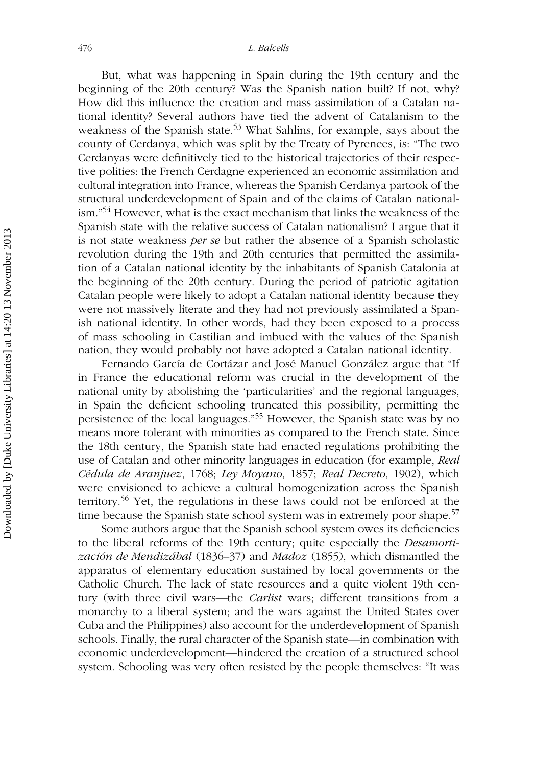But, what was happening in Spain during the 19th century and the beginning of the 20th century? Was the Spanish nation built? If not, why? How did this influence the creation and mass assimilation of a Catalan national identity? Several authors have tied the advent of Catalanism to the weakness of the Spanish state.<sup>53</sup> What Sahlins, for example, says about the county of Cerdanya, which was split by the Treaty of Pyrenees, is: "The two Cerdanyas were definitively tied to the historical trajectories of their respective polities: the French Cerdagne experienced an economic assimilation and cultural integration into France, whereas the Spanish Cerdanya partook of the structural underdevelopment of Spain and of the claims of Catalan nationalism."<sup>54</sup> However, what is the exact mechanism that links the weakness of the Spanish state with the relative success of Catalan nationalism? I argue that it is not state weakness *per se* but rather the absence of a Spanish scholastic revolution during the 19th and 20th centuries that permitted the assimilation of a Catalan national identity by the inhabitants of Spanish Catalonia at the beginning of the 20th century. During the period of patriotic agitation Catalan people were likely to adopt a Catalan national identity because they were not massively literate and they had not previously assimilated a Spanish national identity. In other words, had they been exposed to a process of mass schooling in Castilian and imbued with the values of the Spanish nation, they would probably not have adopted a Catalan national identity.

Fernando García de Cortázar and José Manuel González argue that "If in France the educational reform was crucial in the development of the national unity by abolishing the 'particularities' and the regional languages, in Spain the deficient schooling truncated this possibility, permitting the persistence of the local languages."<sup>55</sup> However, the Spanish state was by no means more tolerant with minorities as compared to the French state. Since the 18th century, the Spanish state had enacted regulations prohibiting the use of Catalan and other minority languages in education (for example, *Real Cedula de Aranjuez ´* , 1768; *Ley Moyano*, 1857; *Real Decreto*, 1902), which were envisioned to achieve a cultural homogenization across the Spanish territory.<sup>56</sup> Yet, the regulations in these laws could not be enforced at the time because the Spanish state school system was in extremely poor shape.<sup>57</sup>

Some authors argue that the Spanish school system owes its deficiencies to the liberal reforms of the 19th century; quite especially the *Desamortizacion de Mendiz ´ abal ´* (1836–37) and *Madoz* (1855), which dismantled the apparatus of elementary education sustained by local governments or the Catholic Church. The lack of state resources and a quite violent 19th century (with three civil wars—the *Carlist* wars; different transitions from a monarchy to a liberal system; and the wars against the United States over Cuba and the Philippines) also account for the underdevelopment of Spanish schools. Finally, the rural character of the Spanish state—in combination with economic underdevelopment—hindered the creation of a structured school system. Schooling was very often resisted by the people themselves: "It was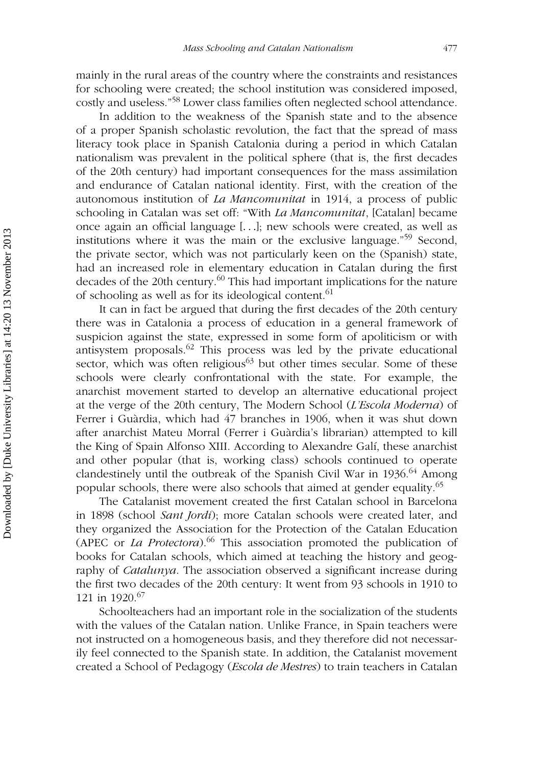mainly in the rural areas of the country where the constraints and resistances for schooling were created; the school institution was considered imposed, costly and useless."<sup>58</sup> Lower class families often neglected school attendance.

In addition to the weakness of the Spanish state and to the absence of a proper Spanish scholastic revolution, the fact that the spread of mass literacy took place in Spanish Catalonia during a period in which Catalan nationalism was prevalent in the political sphere (that is, the first decades of the 20th century) had important consequences for the mass assimilation and endurance of Catalan national identity. First, with the creation of the autonomous institution of *La Mancomunitat* in 1914, a process of public schooling in Catalan was set off: "With *La Mancomunitat*, [Catalan] became once again an official language [...]; new schools were created, as well as institutions where it was the main or the exclusive language."<sup>59</sup> Second, the private sector, which was not particularly keen on the (Spanish) state, had an increased role in elementary education in Catalan during the first decades of the 20th century.<sup>60</sup> This had important implications for the nature of schooling as well as for its ideological content.<sup>61</sup>

It can in fact be argued that during the first decades of the 20th century there was in Catalonia a process of education in a general framework of suspicion against the state, expressed in some form of apoliticism or with antisystem proposals. $62$  This process was led by the private educational sector, which was often religious<sup>63</sup> but other times secular. Some of these schools were clearly confrontational with the state. For example, the anarchist movement started to develop an alternative educational project at the verge of the 20th century, The Modern School (*L'Escola Moderna*) of Ferrer i Guàrdia, which had 47 branches in 1906, when it was shut down after anarchist Mateu Morral (Ferrer i Guardia's librarian) attempted to kill ` the King of Spain Alfonso XIII. According to Alexandre Gal´ı, these anarchist and other popular (that is, working class) schools continued to operate clandestinely until the outbreak of the Spanish Civil War in 1936.<sup>64</sup> Among popular schools, there were also schools that aimed at gender equality.<sup>65</sup>

The Catalanist movement created the first Catalan school in Barcelona in 1898 (school *Sant Jordi*); more Catalan schools were created later, and they organized the Association for the Protection of the Catalan Education (APEC or *La Protectora*).<sup>66</sup> This association promoted the publication of books for Catalan schools, which aimed at teaching the history and geography of *Catalunya*. The association observed a significant increase during the first two decades of the 20th century: It went from 93 schools in 1910 to 121 in 1920.<sup>67</sup>

Schoolteachers had an important role in the socialization of the students with the values of the Catalan nation. Unlike France, in Spain teachers were not instructed on a homogeneous basis, and they therefore did not necessarily feel connected to the Spanish state. In addition, the Catalanist movement created a School of Pedagogy (*Escola de Mestres*) to train teachers in Catalan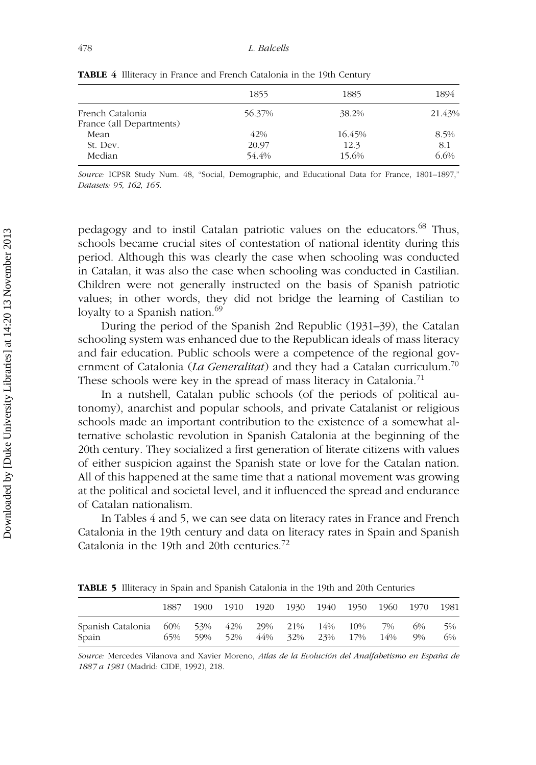|                                  | 1855   | 1885   | 1894   |
|----------------------------------|--------|--------|--------|
| French Catalonia                 | 56.37% | 38.2%  | 21.43% |
| France (all Departments)<br>Mean | 42%    | 16.45% | 8.5%   |
| St. Dev.                         | 20.97  | 12.3   | 8.1    |
| Median                           | 54.4%  | 15.6%  | 6.6%   |

**TABLE 4** Illiteracy in France and French Catalonia in the 19th Century

*Source:* ICPSR Study Num. 48, "Social, Demographic, and Educational Data for France, 1801–1897," *Datasets: 95, 162, 165.*

pedagogy and to instil Catalan patriotic values on the educators.<sup>68</sup> Thus, schools became crucial sites of contestation of national identity during this period. Although this was clearly the case when schooling was conducted in Catalan, it was also the case when schooling was conducted in Castilian. Children were not generally instructed on the basis of Spanish patriotic values; in other words, they did not bridge the learning of Castilian to loyalty to a Spanish nation.<sup>69</sup>

During the period of the Spanish 2nd Republic (1931–39), the Catalan schooling system was enhanced due to the Republican ideals of mass literacy and fair education. Public schools were a competence of the regional government of Catalonia (*La Generalitat*) and they had a Catalan curriculum.<sup>70</sup> These schools were key in the spread of mass literacy in Catalonia.<sup>71</sup>

In a nutshell, Catalan public schools (of the periods of political autonomy), anarchist and popular schools, and private Catalanist or religious schools made an important contribution to the existence of a somewhat alternative scholastic revolution in Spanish Catalonia at the beginning of the 20th century. They socialized a first generation of literate citizens with values of either suspicion against the Spanish state or love for the Catalan nation. All of this happened at the same time that a national movement was growing at the political and societal level, and it influenced the spread and endurance of Catalan nationalism.

In Tables 4 and 5, we can see data on literacy rates in France and French Catalonia in the 19th century and data on literacy rates in Spain and Spanish Catalonia in the 19th and 20th centuries.<sup>72</sup>

|  |  |  |  |  |  |  | <b>TABLE 5</b> Illiteracy in Spain and Spanish Catalonia in the 19th and 20th Centuries |  |  |  |  |  |  |
|--|--|--|--|--|--|--|-----------------------------------------------------------------------------------------|--|--|--|--|--|--|
|--|--|--|--|--|--|--|-----------------------------------------------------------------------------------------|--|--|--|--|--|--|

|                                                           | 1887 - |  | 1900 1910 1920 1930 1940 1950 1960 1970 1981 |  |             |             |
|-----------------------------------------------------------|--------|--|----------------------------------------------|--|-------------|-------------|
| Spanish Catalonia 60% 53% 42% 29% 21% 14% 10% 7%<br>Spain |        |  | 65% 59% 52% 44% 32% 23% 17% 14%              |  | 6%<br>$9\%$ | $5\%$<br>6% |

*Source:* Mercedes Vilanova and Xavier Moreno, *Atlas de la Evolución del Analfabetismo en España de 1887 a 1981* (Madrid: CIDE, 1992), 218.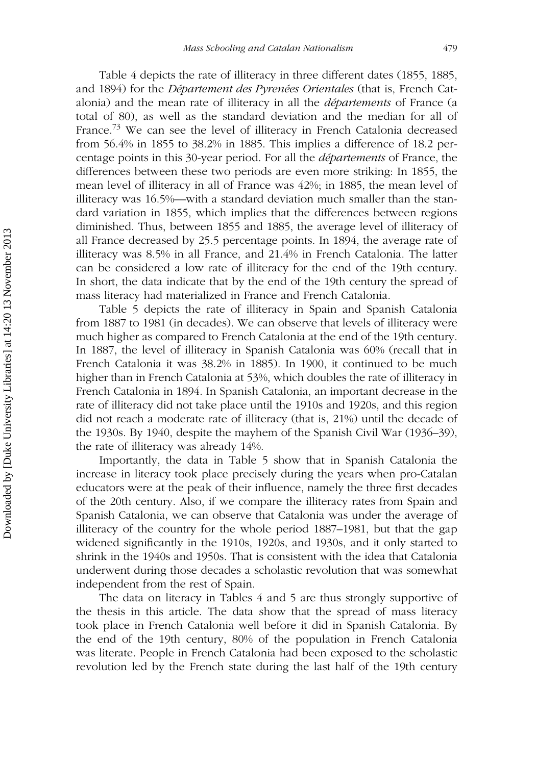Table 4 depicts the rate of illiteracy in three different dates (1855, 1885, and 1894) for the *Département des Pyrenées Orientales* (that is, French Catalonia) and the mean rate of illiteracy in all the *départements* of France (a total of 80), as well as the standard deviation and the median for all of France.<sup>73</sup> We can see the level of illiteracy in French Catalonia decreased from 56.4% in 1855 to 38.2% in 1885. This implies a difference of 18.2 percentage points in this 30-year period. For all the *départements* of France, the differences between these two periods are even more striking: In 1855, the mean level of illiteracy in all of France was 42%; in 1885, the mean level of illiteracy was 16.5%—with a standard deviation much smaller than the standard variation in 1855, which implies that the differences between regions diminished. Thus, between 1855 and 1885, the average level of illiteracy of all France decreased by 25.5 percentage points. In 1894, the average rate of illiteracy was 8.5% in all France, and 21.4% in French Catalonia. The latter can be considered a low rate of illiteracy for the end of the 19th century. In short, the data indicate that by the end of the 19th century the spread of mass literacy had materialized in France and French Catalonia.

Table 5 depicts the rate of illiteracy in Spain and Spanish Catalonia from 1887 to 1981 (in decades). We can observe that levels of illiteracy were much higher as compared to French Catalonia at the end of the 19th century. In 1887, the level of illiteracy in Spanish Catalonia was 60% (recall that in French Catalonia it was 38.2% in 1885). In 1900, it continued to be much higher than in French Catalonia at 53%, which doubles the rate of illiteracy in French Catalonia in 1894. In Spanish Catalonia, an important decrease in the rate of illiteracy did not take place until the 1910s and 1920s, and this region did not reach a moderate rate of illiteracy (that is, 21%) until the decade of the 1930s. By 1940, despite the mayhem of the Spanish Civil War (1936–39), the rate of illiteracy was already 14%.

Importantly, the data in Table 5 show that in Spanish Catalonia the increase in literacy took place precisely during the years when pro-Catalan educators were at the peak of their influence, namely the three first decades of the 20th century. Also, if we compare the illiteracy rates from Spain and Spanish Catalonia, we can observe that Catalonia was under the average of illiteracy of the country for the whole period 1887–1981, but that the gap widened significantly in the 1910s, 1920s, and 1930s, and it only started to shrink in the 1940s and 1950s. That is consistent with the idea that Catalonia underwent during those decades a scholastic revolution that was somewhat independent from the rest of Spain.

The data on literacy in Tables 4 and 5 are thus strongly supportive of the thesis in this article. The data show that the spread of mass literacy took place in French Catalonia well before it did in Spanish Catalonia. By the end of the 19th century, 80% of the population in French Catalonia was literate. People in French Catalonia had been exposed to the scholastic revolution led by the French state during the last half of the 19th century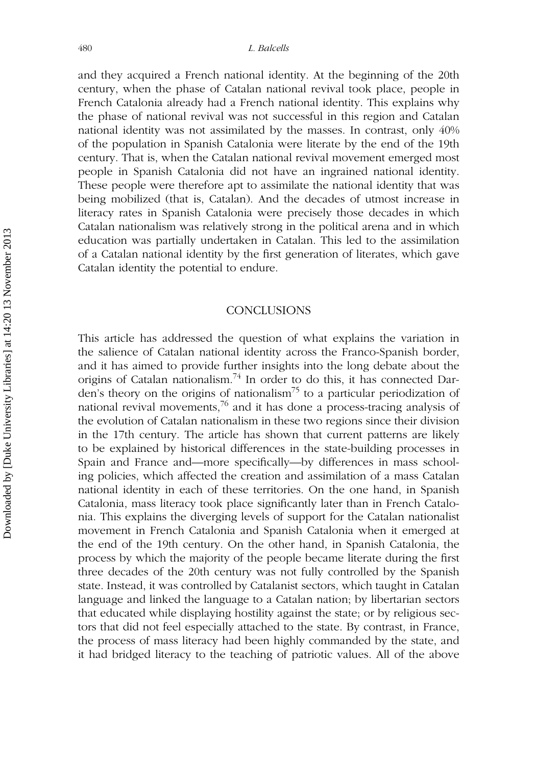and they acquired a French national identity. At the beginning of the 20th century, when the phase of Catalan national revival took place, people in French Catalonia already had a French national identity. This explains why the phase of national revival was not successful in this region and Catalan national identity was not assimilated by the masses. In contrast, only 40% of the population in Spanish Catalonia were literate by the end of the 19th century. That is, when the Catalan national revival movement emerged most people in Spanish Catalonia did not have an ingrained national identity. These people were therefore apt to assimilate the national identity that was being mobilized (that is, Catalan). And the decades of utmost increase in literacy rates in Spanish Catalonia were precisely those decades in which Catalan nationalism was relatively strong in the political arena and in which education was partially undertaken in Catalan. This led to the assimilation of a Catalan national identity by the first generation of literates, which gave Catalan identity the potential to endure.

#### **CONCLUSIONS**

This article has addressed the question of what explains the variation in the salience of Catalan national identity across the Franco-Spanish border, and it has aimed to provide further insights into the long debate about the origins of Catalan nationalism.<sup>74</sup> In order to do this, it has connected Darden's theory on the origins of nationalism<sup>75</sup> to a particular periodization of national revival movements,<sup>76</sup> and it has done a process-tracing analysis of the evolution of Catalan nationalism in these two regions since their division in the 17th century. The article has shown that current patterns are likely to be explained by historical differences in the state-building processes in Spain and France and—more specifically—by differences in mass schooling policies, which affected the creation and assimilation of a mass Catalan national identity in each of these territories. On the one hand, in Spanish Catalonia, mass literacy took place significantly later than in French Catalonia. This explains the diverging levels of support for the Catalan nationalist movement in French Catalonia and Spanish Catalonia when it emerged at the end of the 19th century. On the other hand, in Spanish Catalonia, the process by which the majority of the people became literate during the first three decades of the 20th century was not fully controlled by the Spanish state. Instead, it was controlled by Catalanist sectors, which taught in Catalan language and linked the language to a Catalan nation; by libertarian sectors that educated while displaying hostility against the state; or by religious sectors that did not feel especially attached to the state. By contrast, in France, the process of mass literacy had been highly commanded by the state, and it had bridged literacy to the teaching of patriotic values. All of the above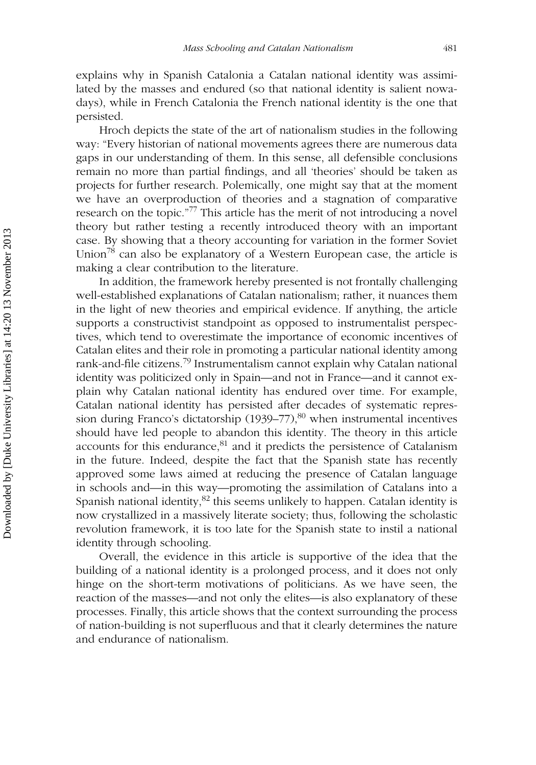explains why in Spanish Catalonia a Catalan national identity was assimilated by the masses and endured (so that national identity is salient nowadays), while in French Catalonia the French national identity is the one that persisted.

Hroch depicts the state of the art of nationalism studies in the following way: "Every historian of national movements agrees there are numerous data gaps in our understanding of them. In this sense, all defensible conclusions remain no more than partial findings, and all 'theories' should be taken as projects for further research. Polemically, one might say that at the moment we have an overproduction of theories and a stagnation of comparative research on the topic."<sup>77</sup> This article has the merit of not introducing a novel theory but rather testing a recently introduced theory with an important case. By showing that a theory accounting for variation in the former Soviet Union<sup>78</sup> can also be explanatory of a Western European case, the article is making a clear contribution to the literature.

In addition, the framework hereby presented is not frontally challenging well-established explanations of Catalan nationalism; rather, it nuances them in the light of new theories and empirical evidence. If anything, the article supports a constructivist standpoint as opposed to instrumentalist perspectives, which tend to overestimate the importance of economic incentives of Catalan elites and their role in promoting a particular national identity among rank-and-file citizens.<sup>79</sup> Instrumentalism cannot explain why Catalan national identity was politicized only in Spain—and not in France—and it cannot explain why Catalan national identity has endured over time. For example, Catalan national identity has persisted after decades of systematic repression during Franco's dictatorship  $(1939–77)$ ,<sup>80</sup> when instrumental incentives should have led people to abandon this identity. The theory in this article accounts for this endurance,<sup>81</sup> and it predicts the persistence of Catalanism in the future. Indeed, despite the fact that the Spanish state has recently approved some laws aimed at reducing the presence of Catalan language in schools and—in this way—promoting the assimilation of Catalans into a Spanish national identity, $8^2$  this seems unlikely to happen. Catalan identity is now crystallized in a massively literate society; thus, following the scholastic revolution framework, it is too late for the Spanish state to instil a national identity through schooling.

Overall, the evidence in this article is supportive of the idea that the building of a national identity is a prolonged process, and it does not only hinge on the short-term motivations of politicians. As we have seen, the reaction of the masses—and not only the elites—is also explanatory of these processes. Finally, this article shows that the context surrounding the process of nation-building is not superfluous and that it clearly determines the nature and endurance of nationalism.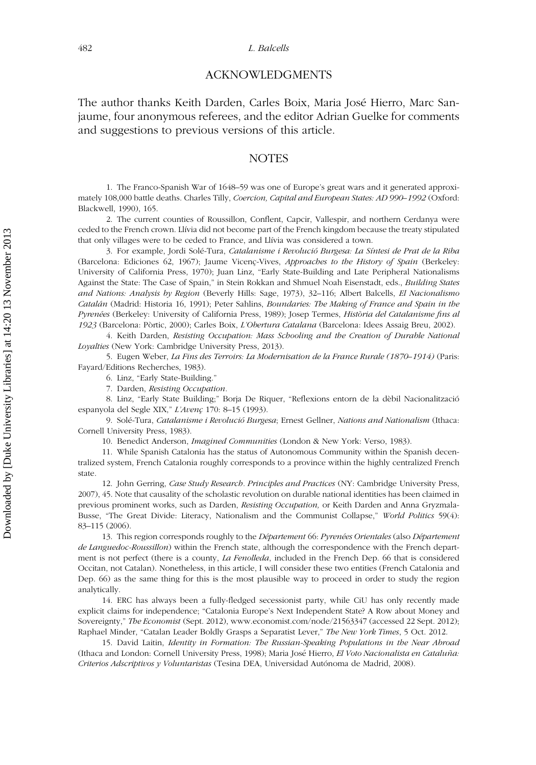#### ACKNOWLEDGMENTS

The author thanks Keith Darden, Carles Boix, Maria Jose Hierro, Marc San- ´ jaume, four anonymous referees, and the editor Adrian Guelke for comments and suggestions to previous versions of this article.

#### **NOTES**

1. The Franco-Spanish War of 1648–59 was one of Europe's great wars and it generated approximately 108,000 battle deaths. Charles Tilly, *Coercion, Capital and European States: AD 990–1992* (Oxford: Blackwell, 1990), 165.

2. The current counties of Roussillon, Conflent, Capcir, Vallespir, and northern Cerdanya were ceded to the French crown. Llívia did not become part of the French kingdom because the treaty stipulated that only villages were to be ceded to France, and Llívia was considered a town.

3. For example, Jordi Sole-Tura, ´ *Catalanisme i Revolucio Burgesa: La S ´ ´ıntesi de Prat de la Riba* (Barcelona: Ediciones 62, 1967); Jaume Vicenç-Vives, *Approaches to the History of Spain* (Berkeley: University of California Press, 1970); Juan Linz, "Early State-Building and Late Peripheral Nationalisms Against the State: The Case of Spain," in Stein Rokkan and Shmuel Noah Eisenstadt, eds., *Building States and Nations: Analysis by Region* (Beverly Hills: Sage, 1973), 32–116; Albert Balcells, *El Nacionalismo Catalan´* (Madrid: Historia 16, 1991); Peter Sahlins, *Boundaries: The Making of France and Spain in the Pyrenees ´* (Berkeley: University of California Press, 1989); Josep Termes, *Historia del Catalanisme fins al `* 1923 (Barcelona: Pòrtic, 2000); Carles Boix, *L'Obertura Catalana* (Barcelona: Idees Assaig Breu, 2002).

4. Keith Darden, *Resisting Occupation: Mass Schooling and the Creation of Durable National Loyalties* (New York: Cambridge University Press, 2013).

5. Eugen Weber, *La Fins des Terroirs: La Modernisation de la France Rurale (1870–1914)* (Paris: Fayard/Editions Recherches, 1983).

6. Linz, "Early State-Building."

7. Darden, *Resisting Occupation.*

8. Linz, "Early State Building;" Borja De Riquer, "Reflexions entorn de la dèbil Nacionalització espanyola del Segle XIX," *L'Avenc¸* 170: 8–15 (1993).

9. Solé-Tura, *Catalanisme i Revolució Burgesa*; Ernest Gellner, *Nations and Nationalism* (Ithaca: Cornell University Press, 1983).

10. Benedict Anderson, *Imagined Communities* (London & New York: Verso, 1983).

11. While Spanish Catalonia has the status of Autonomous Community within the Spanish decentralized system, French Catalonia roughly corresponds to a province within the highly centralized French state.

12. John Gerring, *Case Study Research. Principles and Practices* (NY: Cambridge University Press, 2007), 45. Note that causality of the scholastic revolution on durable national identities has been claimed in previous prominent works, such as Darden, *Resisting Occupation,* or Keith Darden and Anna Gryzmala-Busse, "The Great Divide: Literacy, Nationalism and the Communist Collapse," *World Politics* 59(4): 83–115 (2006).

13. This region corresponds roughly to the *Departement ´* 66: *Pyrenees Orientales ´* (also *Departement ´ de Languedoc-Roussillon*) within the French state, although the correspondence with the French department is not perfect (there is a county, *La Fenolleda*, included in the French Dep. 66 that is considered Occitan, not Catalan). Nonetheless, in this article, I will consider these two entities (French Catalonia and Dep. 66) as the same thing for this is the most plausible way to proceed in order to study the region analytically.

14. ERC has always been a fully-fledged secessionist party, while CiU has only recently made explicit claims for independence; "Catalonia Europe's Next Independent State? A Row about Money and Sovereignty," *The Economist* (Sept. 2012), www.economist.com/node/21563347 (accessed 22 Sept. 2012); Raphael Minder, "Catalan Leader Boldly Grasps a Separatist Lever," *The New York Times*, 5 Oct. 2012.

15. David Laitin, *Identity in Formation: The Russian-Speaking Populations in the Near Abroad* (Ithaca and London: Cornell University Press, 1998); Maria José Hierro, *El Voto Nacionalista en Cataluña: Criterios Adscriptivos y Voluntaristas* (Tesina DEA, Universidad Autonoma de Madrid, 2008). ´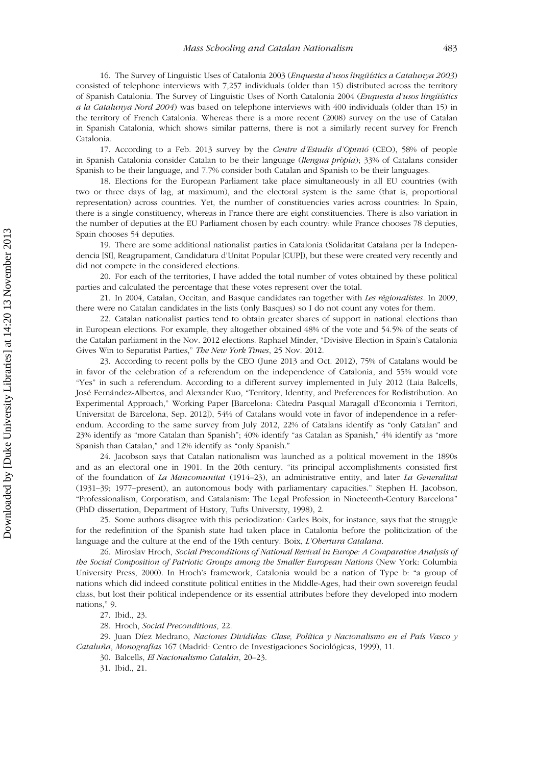16. The Survey of Linguistic Uses of Catalonia 2003 (*Enquesta d'usos lingüístics a Catalunya 2003*) consisted of telephone interviews with 7,257 individuals (older than 15) distributed across the territory of Spanish Catalonia. The Survey of Linguistic Uses of North Catalonia 2004 (*Enquesta d'usos lingüístics a la Catalunya Nord 2004*) was based on telephone interviews with 400 individuals (older than 15) in the territory of French Catalonia. Whereas there is a more recent (2008) survey on the use of Catalan in Spanish Catalonia, which shows similar patterns, there is not a similarly recent survey for French Catalonia.

17. According to a Feb. 2013 survey by the *Centre d'Estudis d'Opinio´* (CEO), 58% of people in Spanish Catalonia consider Catalan to be their language (*llengua propia*); 33% of Catalans consider Spanish to be their language, and 7.7% consider both Catalan and Spanish to be their languages.

18. Elections for the European Parliament take place simultaneously in all EU countries (with two or three days of lag, at maximum), and the electoral system is the same (that is, proportional representation) across countries. Yet, the number of constituencies varies across countries: In Spain, there is a single constituency, whereas in France there are eight constituencies. There is also variation in the number of deputies at the EU Parliament chosen by each country: while France chooses 78 deputies, Spain chooses 54 deputies.

19. There are some additional nationalist parties in Catalonia (Solidaritat Catalana per la Independencia [SI], Reagrupament, Candidatura d'Unitat Popular [CUP]), but these were created very recently and did not compete in the considered elections.

20. For each of the territories, I have added the total number of votes obtained by these political parties and calculated the percentage that these votes represent over the total.

21. In 2004, Catalan, Occitan, and Basque candidates ran together with *Les regionalistes ´* . In 2009, there were no Catalan candidates in the lists (only Basques) so I do not count any votes for them.

22. Catalan nationalist parties tend to obtain greater shares of support in national elections than in European elections. For example, they altogether obtained 48% of the vote and 54.5% of the seats of the Catalan parliament in the Nov. 2012 elections. Raphael Minder, "Divisive Election in Spain's Catalonia Gives Win to Separatist Parties," *The New York Times*, 25 Nov. 2012.

23. According to recent polls by the CEO (June 2013 and Oct. 2012), 75% of Catalans would be in favor of the celebration of a referendum on the independence of Catalonia, and 55% would vote "Yes" in such a referendum. According to a different survey implemented in July 2012 (Laia Balcells, José Fernández-Albertos, and Alexander Kuo, "Territory, Identity, and Preferences for Redistribution. An Experimental Approach," Working Paper [Barcelona: Càtedra Pasqual Maragall d'Economia i Territori, Universitat de Barcelona, Sep. 2012]), 54% of Catalans would vote in favor of independence in a referendum. According to the same survey from July 2012, 22% of Catalans identify as "only Catalan" and 23% identify as "more Catalan than Spanish"; 40% identify "as Catalan as Spanish," 4% identify as "more Spanish than Catalan," and 12% identify as "only Spanish."

24. Jacobson says that Catalan nationalism was launched as a political movement in the 1890s and as an electoral one in 1901. In the 20th century, "its principal accomplishments consisted first of the foundation of *La Mancomunitat* (1914–23), an administrative entity, and later *La Generalitat* (1931–39; 1977–present), an autonomous body with parliamentary capacities." Stephen H. Jacobson, "Professionalism, Corporatism, and Catalanism: The Legal Profession in Nineteenth-Century Barcelona" (PhD dissertation, Department of History, Tufts University, 1998), 2.

25. Some authors disagree with this periodization: Carles Boix, for instance, says that the struggle for the redefinition of the Spanish state had taken place in Catalonia before the politicization of the language and the culture at the end of the 19th century. Boix, *L'Obertura Catalana.*

26. Miroslav Hroch, *Social Preconditions of National Revival in Europe: A Comparative Analysis of the Social Composition of Patriotic Groups among the Smaller European Nations* (New York: Columbia University Press, 2000). In Hroch's framework, Catalonia would be a nation of Type b: "a group of nations which did indeed constitute political entities in the Middle-Ages, had their own sovereign feudal class, but lost their political independence or its essential attributes before they developed into modern nations," 9.

27. Ibid., 23.

28. Hroch, *Social Preconditions*, 22.

29. Juan Díez Medrano, *Naciones Divididas: Clase, Política y Nacionalismo en el País Vasco y Cataluna˜* , *Monograf´ıas* 167 (Madrid: Centro de Investigaciones Sociologicas, 1999), 11. ´

30. Balcells, *El Nacionalismo Catalan´* , 20–23.

31. Ibid., 21.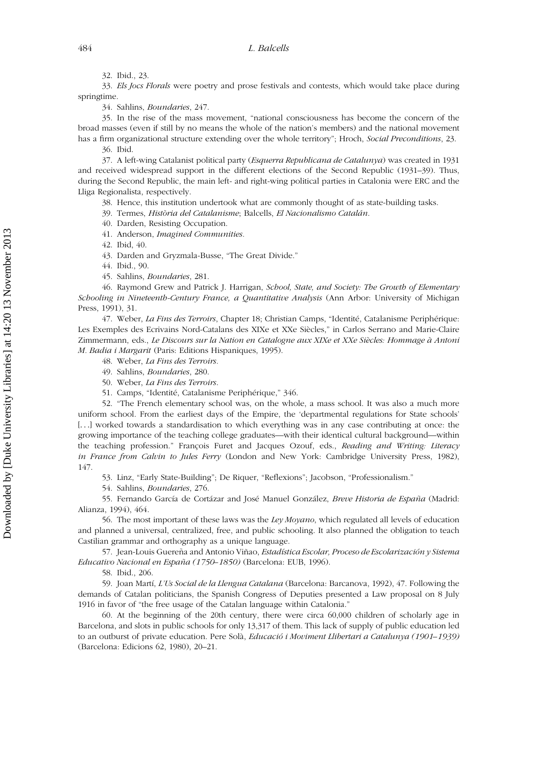32. Ibid., 23.

33. *Els Jocs Florals* were poetry and prose festivals and contests, which would take place during springtime.

34. Sahlins, *Boundaries*, 247.

35. In the rise of the mass movement, "national consciousness has become the concern of the broad masses (even if still by no means the whole of the nation's members) and the national movement has a firm organizational structure extending over the whole territory"; Hroch, *Social Preconditions*, 23.

36. Ibid.

37. A left-wing Catalanist political party (*Esquerra Republicana de Catalunya*) was created in 1931 and received widespread support in the different elections of the Second Republic (1931–39). Thus, during the Second Republic, the main left- and right-wing political parties in Catalonia were ERC and the Lliga Regionalista, respectively.

38. Hence, this institution undertook what are commonly thought of as state-building tasks.

39. Termes, *Historia del Catalanisme `* ; Balcells, *El Nacionalismo Catalan´* .

40. Darden, Resisting Occupation.

41. Anderson, *Imagined Communities.*

42. Ibid, 40.

43. Darden and Gryzmala-Busse, "The Great Divide."

44. Ibid., 90.

45. Sahlins, *Boundaries*, 281.

46. Raymond Grew and Patrick J. Harrigan, *School, State, and Society: The Growth of Elementary Schooling in Nineteenth-Century France, a Quantitative Analysis* (Ann Arbor: University of Michigan Press, 1991), 31.

47. Weber, *La Fins des Terroirs*, Chapter 18; Christian Camps, "Identité, Catalanisme Periphérique: Les Exemples des Ecrivains Nord-Catalans des XIXe et XXe Siecles," in Carlos Serrano and Marie-Claire ` Zimmermann, eds., *Le Discours sur la Nation en Catalogne aux XIXe et XXe Siecles: Hommage ` a Antoni ` M. Badia i Margarit* (Paris: Editions Hispaniques, 1995).

48. Weber, *La Fins des Terroirs.*

49. Sahlins, *Boundaries*, 280.

50. Weber, *La Fins des Terroirs*.

51. Camps, "Identité, Catalanisme Periphérique," 346.

52. "The French elementary school was, on the whole, a mass school. It was also a much more uniform school. From the earliest days of the Empire, the 'departmental regulations for State schools' [...] worked towards a standardisation to which everything was in any case contributing at once: the growing importance of the teaching college graduates—with their identical cultural background—within the teaching profession." François Furet and Jacques Ozouf, eds., *Reading and Writing: Literacy in France from Calvin to Jules Ferry* (London and New York: Cambridge University Press, 1982), 147.

53. Linz, "Early State-Building"; De Riquer, "Reflexions"; Jacobson, "Professionalism."

54. Sahlins, *Boundaries*, 276.

55. Fernando García de Cortázar and José Manuel González, Breve Historia de España (Madrid: Alianza, 1994), 464.

56. The most important of these laws was the *Ley Moyano*, which regulated all levels of education and planned a universal, centralized, free, and public schooling. It also planned the obligation to teach Castilian grammar and orthography as a unique language.

57. Jean-Louis Guereña and Antonio Viñao, *Estadística Escolar, Proceso de Escolarización y Sistema Educativo Nacional en Espana (1750–1850) ˜* (Barcelona: EUB, 1996).

58. Ibid., 206.

59. Joan Mart´ı, *L'Us Social de la Llengua Catalana* (Barcelona: Barcanova, 1992), 47. Following the demands of Catalan politicians, the Spanish Congress of Deputies presented a Law proposal on 8 July 1916 in favor of "the free usage of the Catalan language within Catalonia."

60. At the beginning of the 20th century, there were circa 60,000 children of scholarly age in Barcelona, and slots in public schools for only 13,317 of them. This lack of supply of public education led to an outburst of private education. Pere Sola,` *Educacio i Moviment Llibertari a Catalunya (1901–1939) ´* (Barcelona: Edicions 62, 1980), 20–21.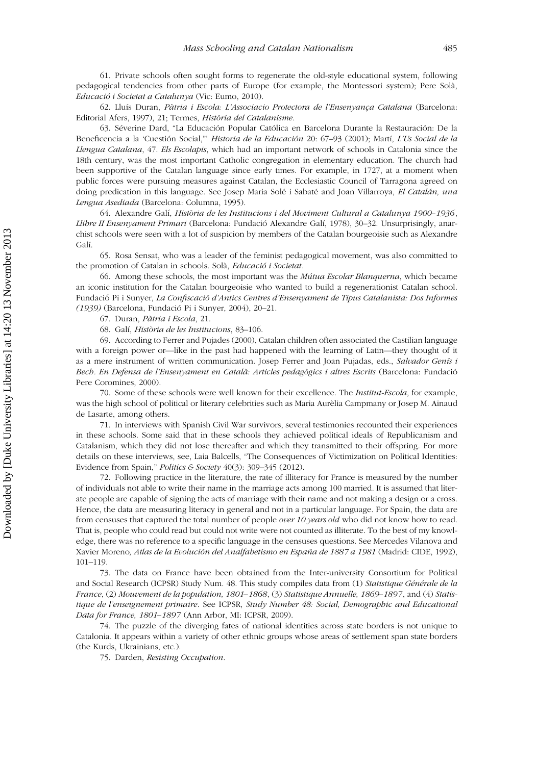61. Private schools often sought forms to regenerate the old-style educational system, following pedagogical tendencies from other parts of Europe (for example, the Montessori system); Pere Sola,` *Educacio i Societat a Catalunya ´* (Vic: Eumo, 2010).

62. Lluís Duran, *Pàtria i Escola: L'Associacio Protectora de l'Ensenyança Catalana* (Barcelona: Editorial Afers, 1997), 21; Termes, *Historia del Catalanisme `* .

63. Séverine Dard, "La Educación Popular Católica en Barcelona Durante la Restauración: De la Beneficencia a la 'Cuestión Social,"' *Historia de la Educación* 20: 67-93 (2001); Martí, *L'Us Social de la Llengua Catalana*, 47. *Els Escolapis*, which had an important network of schools in Catalonia since the 18th century, was the most important Catholic congregation in elementary education. The church had been supportive of the Catalan language since early times. For example, in 1727, at a moment when public forces were pursuing measures against Catalan, the Ecclesiastic Council of Tarragona agreed on doing predication in this language. See Josep Maria Solé i Sabaté and Joan Villarroya, El Catalán, una *Lengua Asediada* (Barcelona: Columna, 1995).

64. Alexandre Gal´ı, *Historia de les Institucions i del Moviment Cultural a Catalunya 1900–1936 `* , *Llibre II Ensenyament Primari* (Barcelona: Fundació Alexandre Galí, 1978), 30–32. Unsurprisingly, anarchist schools were seen with a lot of suspicion by members of the Catalan bourgeoisie such as Alexandre Gal´ı.

65. Rosa Sensat, who was a leader of the feminist pedagogical movement, was also committed to the promotion of Catalan in schools. Sola,` *Educacio i Societat ´* .

66. Among these schools, the most important was the *Mutua Escolar Blanquerna ´* , which became an iconic institution for the Catalan bourgeoisie who wanted to build a regenerationist Catalan school. Fundació Pi i Sunyer, La Confiscació d'Antics Centres d'Ensenyament de Tipus Catalanista: Dos Informes *(1939)* (Barcelona, Fundacio Pi i Sunyer, 2004), 20–21. ´

67. Duran, *Patria i Escola `* , 21.

68. Gal´ı, *Historia de les Institucions `* , 83–106.

69. According to Ferrer and Pujades (2000), Catalan children often associated the Castilian language with a foreign power or—like in the past had happened with the learning of Latin—they thought of it as a mere instrument of written communication. Josep Ferrer and Joan Pujadas, eds., *Salvador Gen´ıs i Bech. En Defensa de l'Ensenyament en Catala: Articles pedag ` ogics i altres Escrits `* (Barcelona: Fundacio´ Pere Coromines, 2000).

70. Some of these schools were well known for their excellence. The *Institut-Escola*, for example, was the high school of political or literary celebrities such as Maria Aurelia Campmany or Josep M. Ainaud ` de Lasarte, among others.

71. In interviews with Spanish Civil War survivors, several testimonies recounted their experiences in these schools. Some said that in these schools they achieved political ideals of Republicanism and Catalanism, which they did not lose thereafter and which they transmitted to their offspring. For more details on these interviews, see, Laia Balcells, "The Consequences of Victimization on Political Identities: Evidence from Spain," *Politics & Society* 40(3): 309–345 (2012).

72. Following practice in the literature, the rate of illiteracy for France is measured by the number of individuals not able to write their name in the marriage acts among 100 married. It is assumed that literate people are capable of signing the acts of marriage with their name and not making a design or a cross. Hence, the data are measuring literacy in general and not in a particular language. For Spain, the data are from censuses that captured the total number of people *over 10 years old* who did not know how to read. That is, people who could read but could not write were not counted as illiterate. To the best of my knowledge, there was no reference to a specific language in the censuses questions. See Mercedes Vilanova and Xavier Moreno, Atlas de la Evolución del Analfabetismo en España de 1887 a 1981 (Madrid: CIDE, 1992), 101–119.

73. The data on France have been obtained from the Inter-university Consortium for Political and Social Research (ICPSR) Study Num. 48. This study compiles data from (1) *Statistique Générale de la France*, (2) *Mouvement de la population, 1801–1868*, (3) *Statistique Annuelle, 1869–1897*, and (4) *Statistique de l'enseignement primaire*. See ICPSR, *Study Number 48: Social, Demographic and Educational Data for France, 1801–1897* (Ann Arbor, MI: ICPSR, 2009).

74. The puzzle of the diverging fates of national identities across state borders is not unique to Catalonia. It appears within a variety of other ethnic groups whose areas of settlement span state borders (the Kurds, Ukrainians, etc.).

75. Darden, *Resisting Occupation.*